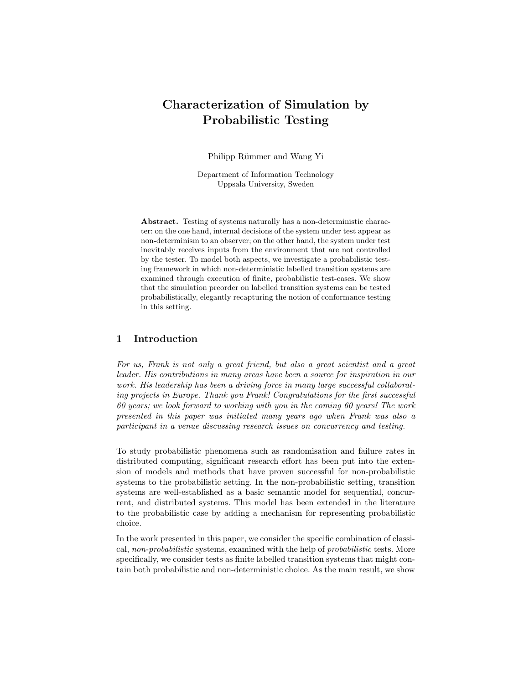# Characterization of Simulation by Probabilistic Testing

Philipp Rümmer and Wang Yi

Department of Information Technology Uppsala University, Sweden

Abstract. Testing of systems naturally has a non-deterministic character: on the one hand, internal decisions of the system under test appear as non-determinism to an observer; on the other hand, the system under test inevitably receives inputs from the environment that are not controlled by the tester. To model both aspects, we investigate a probabilistic testing framework in which non-deterministic labelled transition systems are examined through execution of finite, probabilistic test-cases. We show that the simulation preorder on labelled transition systems can be tested probabilistically, elegantly recapturing the notion of conformance testing in this setting.

# 1 Introduction

For us, Frank is not only a great friend, but also a great scientist and a great leader. His contributions in many areas have been a source for inspiration in our work. His leadership has been a driving force in many large successful collaborating projects in Europe. Thank you Frank! Congratulations for the first successful 60 years; we look forward to working with you in the coming 60 years! The work presented in this paper was initiated many years ago when Frank was also a participant in a venue discussing research issues on concurrency and testing.

To study probabilistic phenomena such as randomisation and failure rates in distributed computing, significant research effort has been put into the extension of models and methods that have proven successful for non-probabilistic systems to the probabilistic setting. In the non-probabilistic setting, transition systems are well-established as a basic semantic model for sequential, concurrent, and distributed systems. This model has been extended in the literature to the probabilistic case by adding a mechanism for representing probabilistic choice.

In the work presented in this paper, we consider the specific combination of classical, non-probabilistic systems, examined with the help of probabilistic tests. More specifically, we consider tests as finite labelled transition systems that might contain both probabilistic and non-deterministic choice. As the main result, we show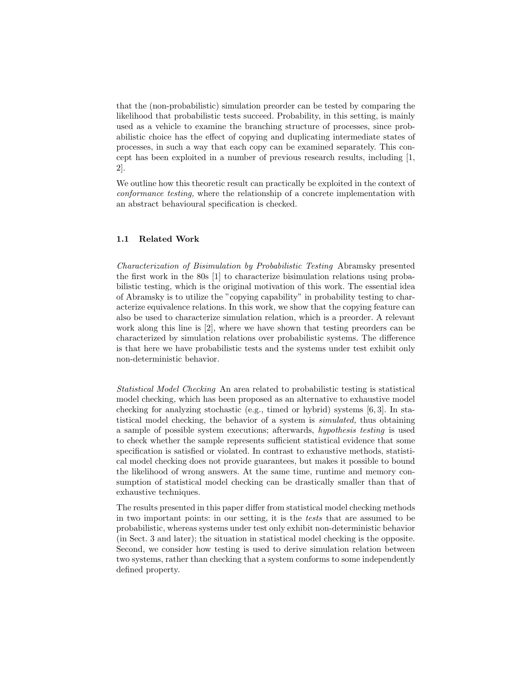that the (non-probabilistic) simulation preorder can be tested by comparing the likelihood that probabilistic tests succeed. Probability, in this setting, is mainly used as a vehicle to examine the branching structure of processes, since probabilistic choice has the effect of copying and duplicating intermediate states of processes, in such a way that each copy can be examined separately. This concept has been exploited in a number of previous research results, including [1, 2].

We outline how this theoretic result can practically be exploited in the context of conformance testing, where the relationship of a concrete implementation with an abstract behavioural specification is checked.

## 1.1 Related Work

Characterization of Bisimulation by Probabilistic Testing Abramsky presented the first work in the 80s [1] to characterize bisimulation relations using probabilistic testing, which is the original motivation of this work. The essential idea of Abramsky is to utilize the "copying capability" in probability testing to characterize equivalence relations. In this work, we show that the copying feature can also be used to characterize simulation relation, which is a preorder. A relevant work along this line is [2], where we have shown that testing preorders can be characterized by simulation relations over probabilistic systems. The difference is that here we have probabilistic tests and the systems under test exhibit only non-deterministic behavior.

Statistical Model Checking An area related to probabilistic testing is statistical model checking, which has been proposed as an alternative to exhaustive model checking for analyzing stochastic (e.g., timed or hybrid) systems  $[6, 3]$ . In statistical model checking, the behavior of a system is simulated, thus obtaining a sample of possible system executions; afterwards, hypothesis testing is used to check whether the sample represents sufficient statistical evidence that some specification is satisfied or violated. In contrast to exhaustive methods, statistical model checking does not provide guarantees, but makes it possible to bound the likelihood of wrong answers. At the same time, runtime and memory consumption of statistical model checking can be drastically smaller than that of exhaustive techniques.

The results presented in this paper differ from statistical model checking methods in two important points: in our setting, it is the tests that are assumed to be probabilistic, whereas systems under test only exhibit non-deterministic behavior (in Sect. 3 and later); the situation in statistical model checking is the opposite. Second, we consider how testing is used to derive simulation relation between two systems, rather than checking that a system conforms to some independently defined property.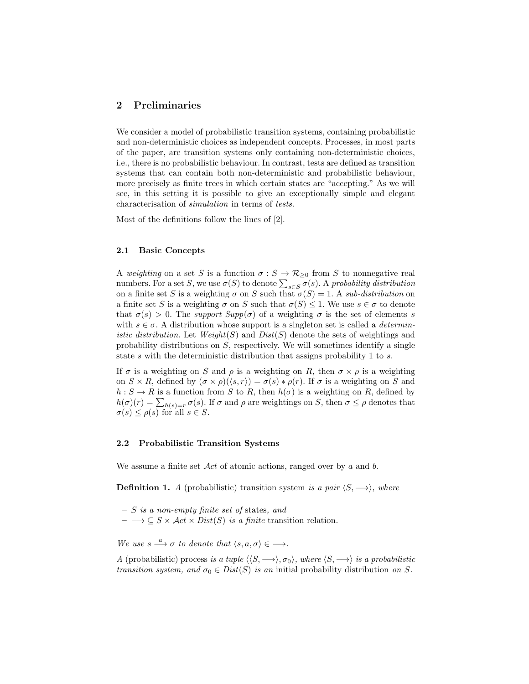# 2 Preliminaries

We consider a model of probabilistic transition systems, containing probabilistic and non-deterministic choices as independent concepts. Processes, in most parts of the paper, are transition systems only containing non-deterministic choices, i.e., there is no probabilistic behaviour. In contrast, tests are defined as transition systems that can contain both non-deterministic and probabilistic behaviour, more precisely as finite trees in which certain states are "accepting." As we will see, in this setting it is possible to give an exceptionally simple and elegant characterisation of simulation in terms of tests.

Most of the definitions follow the lines of [2].

## 2.1 Basic Concepts

A weighting on a set S is a function  $\sigma : S \to \mathcal{R}_{\geq 0}$  from S to nonnegative real numbers. For a set S, we use  $\sigma(S)$  to denote  $\sum_{s\in S}\sigma(s)$ . A probability distribution on a finite set S is a weighting  $\sigma$  on S such that  $\sigma(S) = 1$ . A sub-distribution on a finite set S is a weighting  $\sigma$  on S such that  $\sigma(S) \leq 1$ . We use  $s \in \sigma$  to denote that  $\sigma(s) > 0$ . The support  $Supp(\sigma)$  of a weighting  $\sigma$  is the set of elements s with  $s \in \sigma$ . A distribution whose support is a singleton set is called a *deterministic distribution.* Let  $Weight(S)$  and  $Dist(S)$  denote the sets of weightings and probability distributions on S, respectively. We will sometimes identify a single state s with the deterministic distribution that assigns probability 1 to s.

If  $\sigma$  is a weighting on S and  $\rho$  is a weighting on R, then  $\sigma \times \rho$  is a weighting on  $S \times R$ , defined by  $(\sigma \times \rho)(\langle s, r \rangle) = \sigma(s) * \rho(r)$ . If  $\sigma$  is a weighting on S and  $h: S \to R$  is a function from S to R, then  $h(\sigma)$  is a weighting on R, defined by  $h(\sigma)(r) = \sum_{h(s)=r} \sigma(s)$ . If  $\sigma$  and  $\rho$  are weightings on S, then  $\sigma \leq \rho$  denotes that  $\sigma(s) \leq \rho(s)$  for all  $s \in S$ .

#### 2.2 Probabilistic Transition Systems

We assume a finite set  $\mathcal{A}ct$  of atomic actions, ranged over by a and b.

**Definition 1.** A (probabilistic) transition system is a pair  $\langle S, \longrightarrow \rangle$ , where

 $- S$  is a non-empty finite set of states, and

 $- \longrightarrow \subseteq S \times \mathcal{A}ct \times Dist(S)$  is a finite transition relation.

We use  $s \stackrel{a}{\longrightarrow} \sigma$  to denote that  $\langle s, a, \sigma \rangle \in \longrightarrow$ .

A (probabilistic) process is a tuple  $\langle\langle S, \longrightarrow \rangle, \sigma_0\rangle$ , where  $\langle S, \longrightarrow \rangle$  is a probabilistic transition system, and  $\sigma_0 \in Dist(S)$  is an initial probability distribution on S.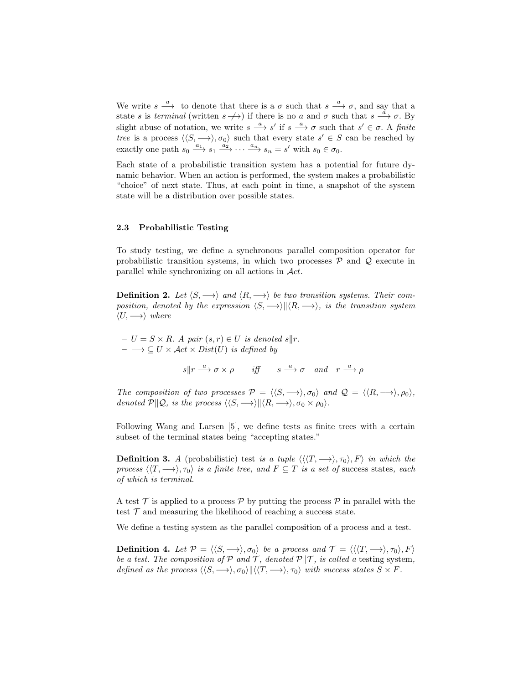We write  $s \stackrel{a}{\longrightarrow}$  to denote that there is a  $\sigma$  such that  $s \stackrel{a}{\longrightarrow} \sigma$ , and say that a state s is terminal (written  $s \rightarrow$ ) if there is no a and  $\sigma$  such that  $s \stackrel{\check{a}}{\rightarrow} \sigma$ . By slight abuse of notation, we write  $s \stackrel{a}{\longrightarrow} s'$  if  $s \stackrel{a}{\longrightarrow} \sigma$  such that  $s' \in \sigma$ . A finite tree is a process  $\langle \langle S, \longrightarrow \rangle, \sigma_0 \rangle$  such that every state  $s' \in S$  can be reached by exactly one path  $s_0 \xrightarrow{a_1} s_1 \xrightarrow{a_2} \cdots \xrightarrow{a_n} s_n = s'$  with  $s_0 \in \sigma_0$ .

Each state of a probabilistic transition system has a potential for future dynamic behavior. When an action is performed, the system makes a probabilistic "choice" of next state. Thus, at each point in time, a snapshot of the system state will be a distribution over possible states.

## 2.3 Probabilistic Testing

To study testing, we define a synchronous parallel composition operator for probabilistic transition systems, in which two processes  $P$  and  $Q$  execute in parallel while synchronizing on all actions in Act.

**Definition 2.** Let  $\langle S, \longrightarrow \rangle$  and  $\langle R, \longrightarrow \rangle$  be two transition systems. Their composition, denoted by the expression  $\langle S, \longrightarrow \rangle || \langle R, \longrightarrow \rangle$ , is the transition system  $\langle U, \longrightarrow \rangle$  where

 $-U = S \times R$ . A pair  $(s, r) \in U$  is denoted s||r.  $- \longrightarrow \subseteq U \times \mathcal{A}ct \times Dist(U)$  is defined by

 $s\Vert r \stackrel{a}{\longrightarrow} \sigma \times \rho$  iff  $s \stackrel{a}{\longrightarrow} \sigma$  and  $r \stackrel{a}{\longrightarrow} \rho$ 

The composition of two processes  $\mathcal{P} = \langle \langle S, \longrightarrow \rangle, \sigma_0 \rangle$  and  $\mathcal{Q} = \langle \langle R, \longrightarrow \rangle, \rho_0 \rangle$ , denoted  $\mathcal{P} \| Q$ , is the process  $\langle \langle S, \longrightarrow \rangle | \langle R, \longrightarrow \rangle, \sigma_0 \times \rho_0 \rangle$ .

Following Wang and Larsen [5], we define tests as finite trees with a certain subset of the terminal states being "accepting states."

**Definition 3.** A (probabilistic) test is a tuple  $\langle \langle T, \longrightarrow \rangle, \tau_0 \rangle, F \rangle$  in which the process  $\langle T, \longrightarrow \rangle$ ,  $\tau_0$  is a finite tree, and  $F \subseteq T$  is a set of success states, each of which is terminal.

A test  $\mathcal T$  is applied to a process  $\mathcal P$  by putting the process  $\mathcal P$  in parallel with the test  $\mathcal T$  and measuring the likelihood of reaching a success state.

We define a testing system as the parallel composition of a process and a test.

**Definition 4.** Let  $\mathcal{P} = \langle \langle S, \longrightarrow \rangle, \sigma_0 \rangle$  be a process and  $\mathcal{T} = \langle \langle \langle T, \longrightarrow \rangle, \tau_0 \rangle, F \rangle$ be a test. The composition of  $P$  and  $T$ , denoted  $P||T$ , is called a testing system, defined as the process  $\langle\langle S, \longrightarrow \rangle, \sigma_0 \rangle$   $\langle\langle T, \longrightarrow \rangle, \tau_0 \rangle$  with success states  $S \times F$ .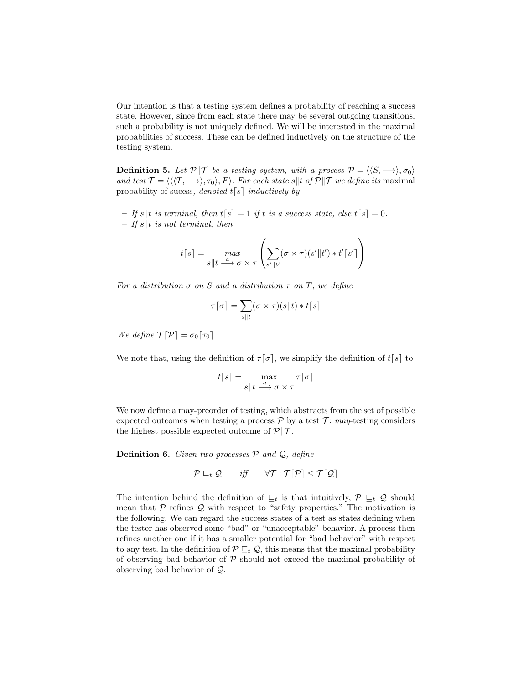Our intention is that a testing system defines a probability of reaching a success state. However, since from each state there may be several outgoing transitions, such a probability is not uniquely defined. We will be interested in the maximal probabilities of success. These can be defined inductively on the structure of the testing system.

**Definition 5.** Let  $\mathcal{P}||\mathcal{T}$  be a testing system, with a process  $\mathcal{P} = \langle \langle S, \longrightarrow \rangle, \sigma_0 \rangle$ and test  $\mathcal{T} = \langle \langle T, \longrightarrow \rangle, \tau_0 \rangle, F \rangle$ . For each state s||t of P||T we define its maximal probability of sucess, denoted  $t[s]$  inductively by

– If s||t is terminal, then  $t[s] = 1$  if t is a success state, else  $t[s] = 0$ . – If  $s\|t$  is not terminal, then

$$
t[s] = \max_{s \parallel t} \max_{\alpha \to \alpha} \left( \sum_{s' \parallel t'} (\sigma \times \tau)(s' \parallel t') * t' \lceil s' \rceil \right)
$$

For a distribution  $\sigma$  on S and a distribution  $\tau$  on T, we define

$$
\tau[\sigma] = \sum_{s \parallel t} (\sigma \times \tau)(s \parallel t) * t\lceil s \rceil
$$

We define  $\mathcal{T}[\mathcal{P}] = \sigma_0[\tau_0].$ 

We note that, using the definition of  $\tau[\sigma]$ , we simplify the definition of  $t[s]$  to

$$
t[s] = \max_{s \mid \mid t \stackrel{a}{\longrightarrow} \sigma \times \tau} \tau[\sigma]
$$

We now define a may-preorder of testing, which abstracts from the set of possible expected outcomes when testing a process  $P$  by a test  $T$ : may-testing considers the highest possible expected outcome of  $\mathcal{P} \| \mathcal{T}$ .

**Definition 6.** Given two processes  $P$  and  $Q$ , define

$$
\mathcal{P} \sqsubseteq_t \mathcal{Q} \qquad \text{iff} \qquad \forall \mathcal{T} : \mathcal{T}[\mathcal{P}] \leq \mathcal{T}[\mathcal{Q}]
$$

The intention behind the definition of  $\subseteq_t$  is that intuitively,  $\mathcal{P} \subseteq_t \mathcal{Q}$  should mean that  $P$  refines  $Q$  with respect to "safety properties." The motivation is the following. We can regard the success states of a test as states defining when the tester has observed some "bad" or "unacceptable" behavior. A process then refines another one if it has a smaller potential for "bad behavior" with respect to any test. In the definition of  $P \sqsubseteq_t Q$ , this means that the maximal probability of observing bad behavior of  $P$  should not exceed the maximal probability of observing bad behavior of Q.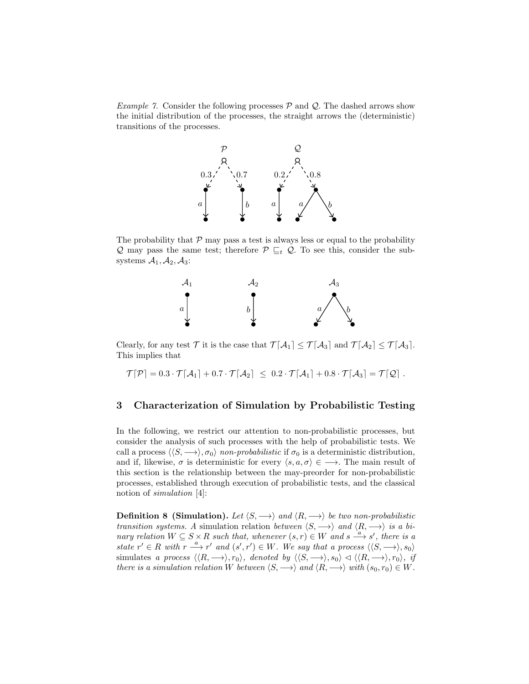Example 7. Consider the following processes  $P$  and  $Q$ . The dashed arrows show the initial distribution of the processes, the straight arrows the (deterministic) transitions of the processes.



The probability that  $P$  may pass a test is always less or equal to the probability Q may pass the same test; therefore  $P \sqsubseteq_t Q$ . To see this, consider the subsystems  $A_1, A_2, A_3$ :



Clearly, for any test  $\mathcal T$  it is the case that  $\mathcal T[\mathcal A_1] \leq \mathcal T[\mathcal A_3]$  and  $\mathcal T[\mathcal A_2] \leq \mathcal T[\mathcal A_3]$ . This implies that

$$
\mathcal{T}[\mathcal{P}] = 0.3 \cdot \mathcal{T}[\mathcal{A}_1] + 0.7 \cdot \mathcal{T}[\mathcal{A}_2] \leq 0.2 \cdot \mathcal{T}[\mathcal{A}_1] + 0.8 \cdot \mathcal{T}[\mathcal{A}_3] = \mathcal{T}[\mathcal{Q}].
$$

# 3 Characterization of Simulation by Probabilistic Testing

In the following, we restrict our attention to non-probabilistic processes, but consider the analysis of such processes with the help of probabilistic tests. We call a process  $\langle \langle S, \longrightarrow \rangle, \sigma_0 \rangle$  non-probabilistic if  $\sigma_0$  is a deterministic distribution, and if, likewise,  $\sigma$  is deterministic for every  $\langle s, a, \sigma \rangle \in \longrightarrow$ . The main result of this section is the relationship between the may-preorder for non-probabilistic processes, established through execution of probabilistic tests, and the classical notion of simulation [4]:

**Definition 8 (Simulation).** Let  $\langle S, \longrightarrow \rangle$  and  $\langle R, \longrightarrow \rangle$  be two non-probabilistic transition systems. A simulation relation between  $\langle S, \longrightarrow \rangle$  and  $\langle R, \longrightarrow \rangle$  is a binary relation  $W \subseteq S \times R$  such that, whenever  $(s,r) \in W$  and  $s \stackrel{\sim}{\longrightarrow} s'$ , there is a state  $r' \in R$  with  $r \stackrel{a}{\longrightarrow} r'$  and  $(s', r') \in W$ . We say that a process  $\langle \langle S, \longrightarrow \rangle, s_0 \rangle$ simulates a process  $\langle R, \longrightarrow \rangle, r_0 \rangle$ , denoted by  $\langle S, \longrightarrow \rangle, s_0 \rangle \triangleleft \langle R, \longrightarrow \rangle, r_0 \rangle$ , if there is a simulation relation W between  $\langle S, \longrightarrow \rangle$  and  $\langle R, \longrightarrow \rangle$  with  $(s_0, r_0) \in W$ .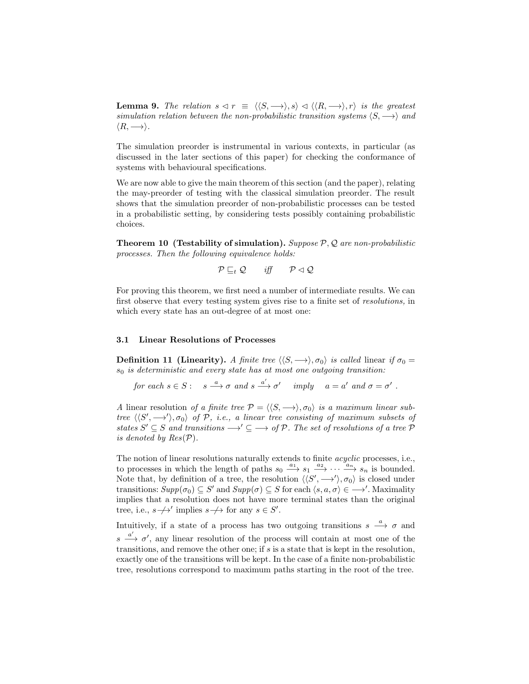**Lemma 9.** The relation  $s \triangleleft r \equiv \langle \langle S, \longrightarrow \rangle, s \rangle \langle \langle R, \longrightarrow \rangle, r \rangle$  is the greatest simulation relation between the non-probabilistic transition systems  $\langle S, \longrightarrow \rangle$  and  $\langle R, \longrightarrow \rangle$ .

The simulation preorder is instrumental in various contexts, in particular (as discussed in the later sections of this paper) for checking the conformance of systems with behavioural specifications.

We are now able to give the main theorem of this section (and the paper), relating the may-preorder of testing with the classical simulation preorder. The result shows that the simulation preorder of non-probabilistic processes can be tested in a probabilistic setting, by considering tests possibly containing probabilistic choices.

**Theorem 10 (Testability of simulation).** Suppose  $P$ ,  $Q$  are non-probabilistic processes. Then the following equivalence holds:

 $P \sqsubseteq_t Q$  iff  $P \lhd Q$ 

For proving this theorem, we first need a number of intermediate results. We can first observe that every testing system gives rise to a finite set of resolutions, in which every state has an out-degree of at most one:

## 3.1 Linear Resolutions of Processes

**Definition 11 (Linearity).** A finite tree  $\langle \langle S, \longrightarrow \rangle, \sigma_0 \rangle$  is called linear if  $\sigma_0 =$  $s_0$  is deterministic and every state has at most one outgoing transition:

for each  $s \in S: s \stackrel{a}{\longrightarrow} \sigma$  and  $s \stackrel{a'}{\longrightarrow} \sigma'$  imply  $a = a'$  and  $\sigma = \sigma'$ .

A linear resolution of a finite tree  $\mathcal{P} = \langle \langle S, \longrightarrow \rangle, \sigma_0 \rangle$  is a maximum linear subtree  $\langle \langle S', \longrightarrow \rangle, \sigma_0 \rangle$  of P, i.e., a linear tree consisting of maximum subsets of states  $S' \subseteq S$  and transitions  $\longrightarrow' \subseteq \longrightarrow$  of P. The set of resolutions of a tree P is denoted by  $Res(\mathcal{P})$ .

The notion of linear resolutions naturally extends to finite acyclic processes, i.e., to processes in which the length of paths  $s_0 \xrightarrow{a_1} s_1 \xrightarrow{a_2} \cdots \xrightarrow{a_n} s_n$  is bounded. Note that, by definition of a tree, the resolution  $\langle \langle S', \longrightarrow' \rangle, \sigma_0 \rangle$  is closed under transitions:  $Supp(\sigma_0) \subseteq S'$  and  $Supp(\sigma) \subseteq S$  for each  $\langle s, a, \sigma \rangle \in \longrightarrow'$ . Maximality implies that a resolution does not have more terminal states than the original tree, i.e.,  $s \rightarrow'$  implies  $s \rightarrow$  for any  $s \in S'$ .

Intuitively, if a state of a process has two outgoing transitions  $s \stackrel{a}{\longrightarrow} \sigma$  and  $s \stackrel{a'}{\longrightarrow} \sigma'$ , any linear resolution of the process will contain at most one of the transitions, and remove the other one; if  $s$  is a state that is kept in the resolution, exactly one of the transitions will be kept. In the case of a finite non-probabilistic tree, resolutions correspond to maximum paths starting in the root of the tree.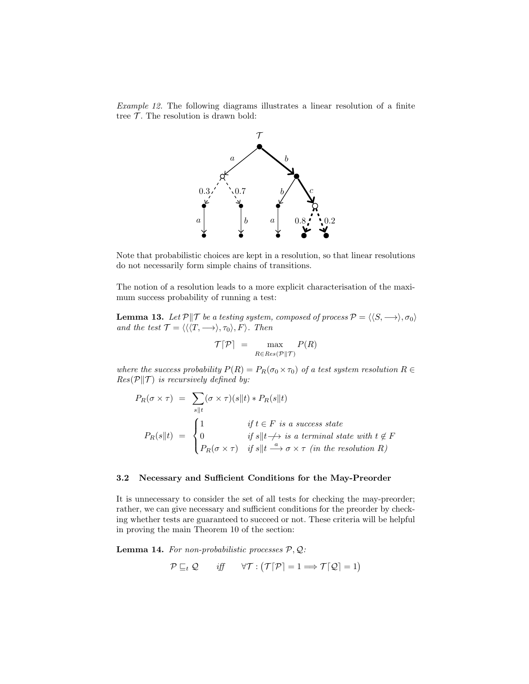Example 12. The following diagrams illustrates a linear resolution of a finite tree  $\mathcal T$ . The resolution is drawn bold:



Note that probabilistic choices are kept in a resolution, so that linear resolutions do not necessarily form simple chains of transitions.

The notion of a resolution leads to a more explicit characterisation of the maximum success probability of running a test:

**Lemma 13.** Let  $\mathcal{P}||\mathcal{T}$  be a testing system, composed of process  $\mathcal{P} = \langle\langle S, \longrightarrow \rangle, \sigma_0\rangle$ and the test  $\mathcal{T} = \langle \langle T, \longrightarrow \rangle, \tau_0 \rangle, F \rangle$ . Then

$$
\mathcal{T}[\mathcal{P}] = \max_{R \in Res(\mathcal{P} \| \mathcal{T})} P(R)
$$

where the success probability  $P(R) = P_R(\sigma_0 \times \tau_0)$  of a test system resolution  $R \in$  $Res(\mathcal{P}||\mathcal{T})$  is recursively defined by:

$$
P_R(\sigma \times \tau) = \sum_{s \parallel t} (\sigma \times \tau)(s \parallel t) * P_R(s \parallel t)
$$
  
\n
$$
P_R(s \parallel t) = \begin{cases} 1 & \text{if } t \in F \text{ is a success state} \\ 0 & \text{if } s \parallel t \to s \text{ a terminal state with } t \notin F \\ P_R(\sigma \times \tau) & \text{if } s \parallel t \stackrel{a}{\longrightarrow} \sigma \times \tau \text{ (in the resolution R)} \end{cases}
$$

#### 3.2 Necessary and Sufficient Conditions for the May-Preorder

It is unnecessary to consider the set of all tests for checking the may-preorder; rather, we can give necessary and sufficient conditions for the preorder by checking whether tests are guaranteed to succeed or not. These criteria will be helpful in proving the main Theorem 10 of the section:

**Lemma 14.** For non-probabilistic processes  $P, Q$ :

$$
\mathcal{P} \sqsubseteq_t \mathcal{Q} \qquad \text{iff} \qquad \forall \mathcal{T} : (\mathcal{T}[\mathcal{P}] = 1 \Longrightarrow \mathcal{T}[\mathcal{Q}] = 1)
$$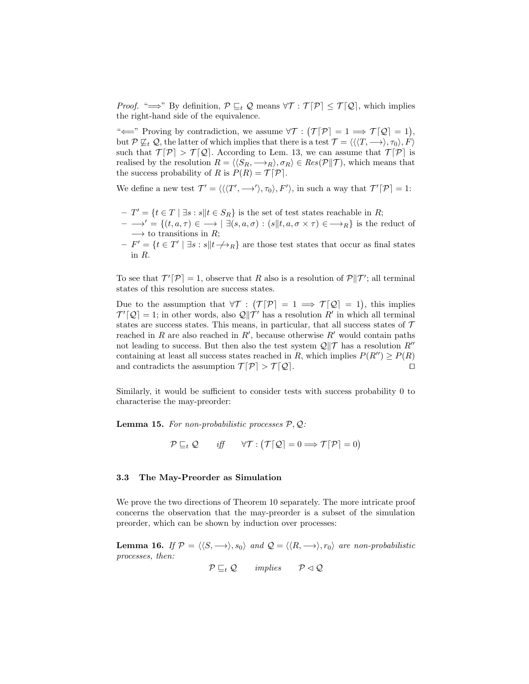*Proof.* " $\implies$ " By definition,  $P \subseteq_t Q$  means  $\forall T : T[\mathcal{P}] \leq T[\mathcal{Q}]$ , which implies the right-hand side of the equivalence.

"  $\Longleftarrow$ " Proving by contradiction, we assume  $\forall \mathcal{T} : (\mathcal{T}[\mathcal{P}] = 1 \implies \mathcal{T}[\mathcal{Q}] = 1),$ but P  $\mathcal{L}_t$  Q, the latter of which implies that there is a test  $\mathcal{T} = \langle \langle T, \longrightarrow \rangle, \tau_0 \rangle, F \rangle$ such that  $\mathcal{T}[\mathcal{P}] > \mathcal{T}[\mathcal{Q}]$ . According to Lem. 13, we can assume that  $\mathcal{T}[\mathcal{P}]$  is realised by the resolution  $R = \langle \langle S_R, \longrightarrow_R \rangle, \sigma_R \rangle \in Res(\mathcal{P} \| \mathcal{T})$ , which means that the success probability of R is  $P(R) = \mathcal{T}[\mathcal{P}].$ 

We define a new test  $\mathcal{T}' = \langle \langle T', \longrightarrow' \rangle, \tau_0 \rangle, F' \rangle$ , in such a way that  $\mathcal{T}'[\mathcal{P}] = 1$ :

- $-T' = \{t \in T \mid \exists s : s \mid t \in S_R\}$  is the set of test states reachable in R;
- $-\longrightarrow' = \{(t, a, \tau) \in \longrightarrow \mid \exists (s, a, \sigma) : (s \mid t, a, \sigma \times \tau) \in \longrightarrow_R \}$  is the reduct of  $\rightarrow$  to transitions in R;
- $-F' = \{t \in T' \mid \exists s : s \mid t \rightarrow R\}$  are those test states that occur as final states in R.

To see that  $\mathcal{T}'[\mathcal{P}] = 1$ , observe that R also is a resolution of  $\mathcal{P}||\mathcal{T}'$ ; all terminal states of this resolution are success states.

Due to the assumption that  $\forall \mathcal{T} : (\mathcal{T}[\mathcal{P}] = 1 \implies \mathcal{T}[\mathcal{Q}] = 1)$ , this implies  $\mathcal{T}'[\mathcal{Q}] = 1$ ; in other words, also  $\mathcal{Q} \| \mathcal{T}'$  has a resolution R' in which all terminal states are success states. This means, in particular, that all success states of  $\mathcal T$ reached in R are also reached in  $R'$ , because otherwise  $R'$  would contain paths not leading to success. But then also the test system  $\mathcal{Q}||\mathcal{T}$  has a resolution  $R''$ containing at least all success states reached in R, which implies  $P(R'') \geq P(R)$ and contradicts the assumption  $\mathcal{T}[\mathcal{P}] > \mathcal{T}[\mathcal{Q}].$ 

Similarly, it would be sufficient to consider tests with success probability 0 to characterise the may-preorder:

**Lemma 15.** For non-probabilistic processes  $P, Q$ :

 $\mathcal{P} \sqsubseteq_t \mathcal{Q}$  iff  $\forall \mathcal{T} : (\mathcal{T}[\mathcal{Q}]=0 \Longrightarrow \mathcal{T}[\mathcal{P}]=0)$ 

#### 3.3 The May-Preorder as Simulation

We prove the two directions of Theorem 10 separately. The more intricate proof concerns the observation that the may-preorder is a subset of the simulation preorder, which can be shown by induction over processes:

**Lemma 16.** If  $P = \langle \langle S, \longrightarrow \rangle, s_0 \rangle$  and  $Q = \langle \langle R, \longrightarrow \rangle, r_0 \rangle$  are non-probabilistic processes, then:

 $P \sqsubset_t Q$  implies  $P \lhd Q$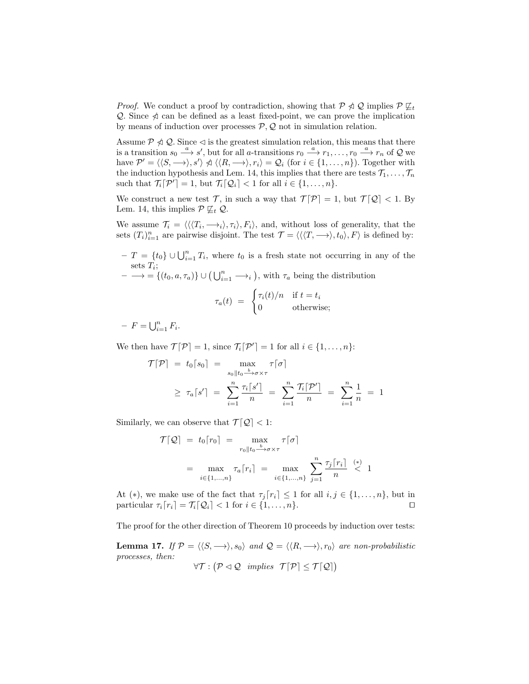*Proof.* We conduct a proof by contradiction, showing that  $P \ntriangleleft Q$  implies  $P \not\sqsubseteq_t P$ Q. Since  $\phi$  can be defined as a least fixed-point, we can prove the implication by means of induction over processes  $P, Q$  not in simulation relation.

Assume  $P \ntriangleleft Q$ . Since  $\triangleleft$  is the greatest simulation relation, this means that there is a transition  $s_0 \stackrel{a}{\longrightarrow} s'$ , but for all a-transitions  $r_0 \stackrel{a}{\longrightarrow} r_1, \ldots, r_0 \stackrel{a}{\longrightarrow} r_n$  of  $\mathcal Q$  we have  $\mathcal{P}' = \langle \langle S, \longrightarrow \rangle, s' \rangle \nless \langle \langle R, \longrightarrow \rangle, r_i \rangle = \mathcal{Q}_i$  (for  $i \in \{1, \dots, n\}$ ). Together with the induction hypothesis and Lem. 14, this implies that there are tests  $\mathcal{T}_1, \ldots, \mathcal{T}_n$ such that  $\mathcal{T}_i[\mathcal{P}'] = 1$ , but  $\mathcal{T}_i[\mathcal{Q}_i] < 1$  for all  $i \in \{1, ..., n\}$ .

We construct a new test  $\mathcal{T}$ , in such a way that  $\mathcal{T}[\mathcal{P}] = 1$ , but  $\mathcal{T}[\mathcal{Q}] < 1$ . By Lem. 14, this implies  $\mathcal{P} \not\sqsubseteq_t \mathcal{Q}$ .

We assume  $\mathcal{T}_i = \langle \langle T_i, \longrightarrow_i \rangle, \tau_i \rangle$ ,  $F_i \rangle$ , and, without loss of generality, that the sets  $(T_i)_{i=1}^n$  are pairwise disjoint. The test  $\mathcal{T} = \langle \langle T, \longrightarrow \rangle, t_0 \rangle, F \rangle$  is defined by:

 $-T = \{t_0\} \cup \bigcup_{i=1}^n T_i$ , where  $t_0$  is a fresh state not occurring in any of the sets  $T_i$ ;  $- \longrightarrow \equiv \{(t_0, a, \tau_a)\} \cup (\bigcup_{i=1}^n \longrightarrow_i),$  with  $\tau_a$  being the distribution

$$
\tau_a(t) = \begin{cases} \tau_i(t)/n & \text{if } t = t_i \\ 0 & \text{otherwise}; \end{cases}
$$

 $-F = \bigcup_{i=1}^{n} F_i.$ 

We then have  $\mathcal{T}[\mathcal{P}] = 1$ , since  $\mathcal{T}_i[\mathcal{P}'] = 1$  for all  $i \in \{1, ..., n\}$ :

$$
\mathcal{T}[\mathcal{P}] = t_0[s_0] = \max_{s_0 \parallel t_0 \stackrel{b}{\longrightarrow} \sigma \times \tau} \tau[\sigma]
$$
  

$$
\geq \tau_a[s'] = \sum_{i=1}^n \frac{\tau_i[s']}{n} = \sum_{i=1}^n \frac{\mathcal{T}_i[\mathcal{P}']}{n} = \sum_{i=1}^n \frac{1}{n} = 1
$$

Similarly, we can observe that  $\mathcal{T}[\mathcal{Q}] < 1$ :

$$
\mathcal{T}[\mathcal{Q}] = t_0[r_0] = \max_{r_0 \parallel t_0 \xrightarrow{b} \sigma \times \tau} \tau[\sigma]
$$

$$
= \max_{i \in \{1, ..., n\}} \tau_a[r_i] = \max_{i \in \{1, ..., n\}} \sum_{j=1}^n \frac{\tau_j[r_i]}{n} \stackrel{(*)}{\leq} 1
$$

At (\*), we make use of the fact that  $\tau_j\lceil r_i \rceil \leq 1$  for all  $i, j \in \{1, \ldots, n\}$ , but in particular  $\tau_i[r_i] = \mathcal{T}_i[\mathcal{Q}_i] < 1$  for  $i \in \{1, ..., n\}$ .

The proof for the other direction of Theorem 10 proceeds by induction over tests:

**Lemma 17.** If  $P = \langle \langle S, \longrightarrow \rangle, s_0 \rangle$  and  $Q = \langle \langle R, \longrightarrow \rangle, r_0 \rangle$  are non-probabilistic processes, then:  $\forall \mathcal{T} : (\mathcal{P} \triangleleft \mathcal{Q} \text{ implies } \mathcal{T}[\mathcal{P}] \leq \mathcal{T}[\mathcal{Q}])$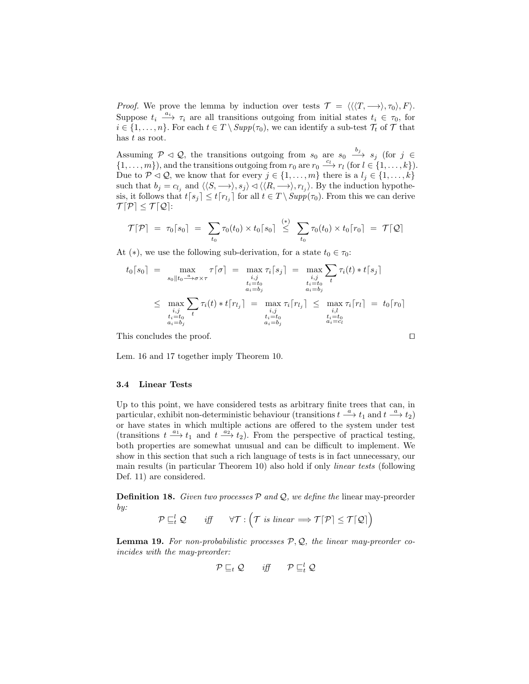*Proof.* We prove the lemma by induction over tests  $\mathcal{T} = \langle \langle \langle T, \longrightarrow \rangle, \tau_0 \rangle, F \rangle$ . Suppose  $t_i \stackrel{a_i}{\longrightarrow} \tau_i$  are all transitions outgoing from initial states  $t_i \in \tau_0$ , for  $i \in \{1, \ldots, n\}$ . For each  $t \in T \setminus Supp(\tau_0)$ , we can identify a sub-test  $\mathcal{T}_t$  of  $\mathcal{T}$  that has  $t$  as root.

Assuming  $\mathcal{P} \triangleleft \mathcal{Q}$ , the transitions outgoing from  $s_0$  are  $s_0 \stackrel{b_j}{\longrightarrow} s_j$  (for  $j \in$  $\{1,\ldots,m\}$ , and the transitions outgoing from  $r_0$  are  $r_0 \xrightarrow{c_l} r_l$  (for  $l \in \{1,\ldots,k\}$ ). Due to  $P \triangleleft Q$ , we know that for every  $j \in \{1, ..., m\}$  there is a  $l_j \in \{1, ..., k\}$ such that  $b_j = c_{l_j}$  and  $\langle\langle S, \longrightarrow \rangle, s_j \rangle \langle\langle R, \longrightarrow \rangle, r_{l_j} \rangle$ . By the induction hypothesis, it follows that  $t[s_j] \leq t[r_{l_j}]$  for all  $t \in T \setminus Supp(\tau_0)$ . From this we can derive  $\mathcal{T}[\mathcal{P}] \leq \mathcal{T}[\mathcal{Q}]:$ 

$$
\mathcal{T}[\mathcal{P}] = \tau_0[s_0] = \sum_{t_0} \tau_0(t_0) \times t_0[s_0] \stackrel{(*)}{\leq} \sum_{t_0} \tau_0(t_0) \times t_0[r_0] = \mathcal{T}[\mathcal{Q}]
$$

At (\*), we use the following sub-derivation, for a state  $t_0 \in \tau_0$ :

$$
t_0[s_0] = \max_{\substack{s_0 \parallel t_0 \xrightarrow{\alpha} \sigma \times \tau \\ \vdots \\ s_0 \parallel t_0 \xrightarrow{\alpha} \sigma \times \tau}} \tau[\sigma] = \max_{\substack{i,j \\ t_i = t_0 \\ a_i = b_j}} \tau_i(t) * t[s_j] = \max_{\substack{i,j \\ t_i = t_0 \\ \vdots \\ t_i = t_0 \\ t_i = t_0}} \tau_i(t) * t[s_j]
$$
  

$$
\leq \max_{\substack{i,j \\ t_i = t_0 \\ a_i = b_j}} \tau_i(t) * t[r_{l_j}] = \max_{\substack{i,j \\ t_i = t_0 \\ a_i = b_j}} \tau_i[r_{l_j}] \leq \max_{\substack{i,l \\ t_i = t_0 \\ a_i = c_l}} \tau_i[r_l] = t_0[r_0]
$$

This concludes the proof.  $\Box$ 

Lem. 16 and 17 together imply Theorem 10.

### 3.4 Linear Tests

Up to this point, we have considered tests as arbitrary finite trees that can, in particular, exhibit non-deterministic behaviour (transitions  $t \stackrel{a}{\longrightarrow} t_1$  and  $t \stackrel{a}{\longrightarrow} t_2$ ) or have states in which multiple actions are offered to the system under test (transitions  $t \xrightarrow{a_1} t_1$  and  $t \xrightarrow{a_2} t_2$ ). From the perspective of practical testing, both properties are somewhat unusual and can be difficult to implement. We show in this section that such a rich language of tests is in fact unnecessary, our main results (in particular Theorem 10) also hold if only linear tests (following Def. 11) are considered.

**Definition 18.** Given two processes  $P$  and  $Q$ , we define the linear may-preorder by:

 $\mathcal{P} \sqsubseteq_{t}^{l} \mathcal{Q}$  iff  $\forall \mathcal{T} : (\mathcal{T} \text{ is linear} \Longrightarrow \mathcal{T}[\mathcal{P}] \leq \mathcal{T}[\mathcal{Q}])$ 

**Lemma 19.** For non-probabilistic processes  $P$ ,  $Q$ , the linear may-preorder coincides with the may-preorder:

$$
\mathcal{P} \sqsubseteq_t \mathcal{Q} \qquad \text{iff} \qquad \mathcal{P} \sqsubseteq_t^l \mathcal{Q}
$$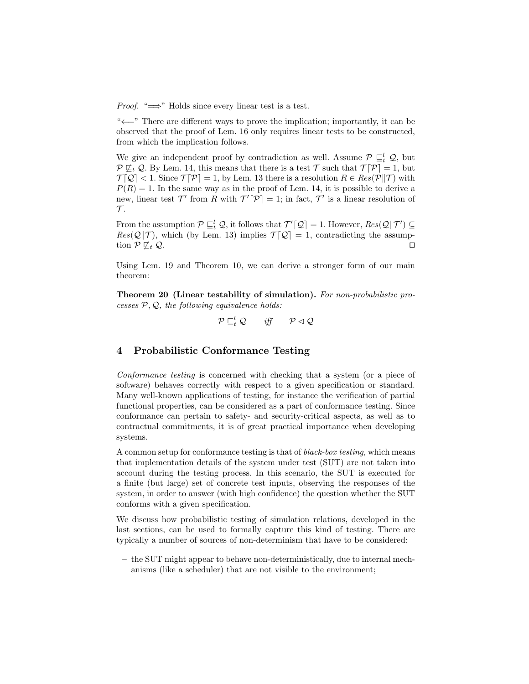*Proof.* " $\Longrightarrow$ " Holds since every linear test is a test.

"⇐=" There are different ways to prove the implication; importantly, it can be observed that the proof of Lem. 16 only requires linear tests to be constructed, from which the implication follows.

We give an independent proof by contradiction as well. Assume  $P \sqsubseteq_t^l Q$ , but  $\mathcal{P} \not\sqsubseteq_t \mathcal{Q}$ . By Lem. 14, this means that there is a test  $\mathcal{T}$  such that  $\mathcal{T}[\mathcal{P}] = 1$ , but  $\mathcal{T}[\mathcal{Q}] < 1$ . Since  $\mathcal{T}[\mathcal{P}] = 1$ , by Lem. 13 there is a resolution  $R \in Res(\mathcal{P}||\mathcal{T})$  with  $P(R) = 1$ . In the same way as in the proof of Lem. 14, it is possible to derive a new, linear test  $\mathcal{T}'$  from R with  $\mathcal{T}'[\mathcal{P}] = 1$ ; in fact,  $\mathcal{T}'$  is a linear resolution of  $\mathcal{T}$ .

From the assumption  $P \sqsubseteq_i^l Q$ , it follows that  $\mathcal{T}'[\mathcal{Q}] = 1$ . However,  $Res(\mathcal{Q}||\mathcal{T}') \subseteq$  $Res(\mathcal{Q}||\mathcal{T})$ , which (by Lem. 13) implies  $\mathcal{T}[\mathcal{Q}] = 1$ , contradicting the assumption  $P \not\sqsubseteq_t Q$ .

Using Lem. 19 and Theorem 10, we can derive a stronger form of our main theorem:

Theorem 20 (Linear testability of simulation). For non-probabilistic processes  $P, Q$ , the following equivalence holds:

> $\mathcal{P} \sqsubset_{\iota}^{l} \mathcal{Q}$ iff  $P \triangleleft Q$

# 4 Probabilistic Conformance Testing

Conformance testing is concerned with checking that a system (or a piece of software) behaves correctly with respect to a given specification or standard. Many well-known applications of testing, for instance the verification of partial functional properties, can be considered as a part of conformance testing. Since conformance can pertain to safety- and security-critical aspects, as well as to contractual commitments, it is of great practical importance when developing systems.

A common setup for conformance testing is that of black-box testing, which means that implementation details of the system under test (SUT) are not taken into account during the testing process. In this scenario, the SUT is executed for a finite (but large) set of concrete test inputs, observing the responses of the system, in order to answer (with high confidence) the question whether the SUT conforms with a given specification.

We discuss how probabilistic testing of simulation relations, developed in the last sections, can be used to formally capture this kind of testing. There are typically a number of sources of non-determinism that have to be considered:

– the SUT might appear to behave non-deterministically, due to internal mechanisms (like a scheduler) that are not visible to the environment;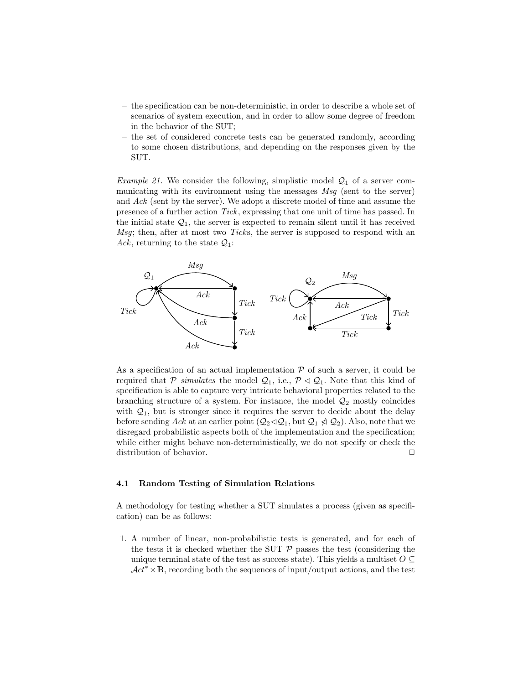- the specification can be non-deterministic, in order to describe a whole set of scenarios of system execution, and in order to allow some degree of freedom in the behavior of the SUT;
- the set of considered concrete tests can be generated randomly, according to some chosen distributions, and depending on the responses given by the SUT.

*Example 21.* We consider the following, simplistic model  $Q_1$  of a server communicating with its environment using the messages  $Msq$  (sent to the server) and Ack (sent by the server). We adopt a discrete model of time and assume the presence of a further action Tick, expressing that one unit of time has passed. In the initial state  $\mathcal{Q}_1$ , the server is expected to remain silent until it has received Msg; then, after at most two Ticks, the server is supposed to respond with an Ack, returning to the state  $\mathcal{Q}_1$ :



As a specification of an actual implementation  $P$  of such a server, it could be required that P simulates the model  $\mathcal{Q}_1$ , i.e.,  $\mathcal{P} \triangleleft \mathcal{Q}_1$ . Note that this kind of specification is able to capture very intricate behavioral properties related to the branching structure of a system. For instance, the model  $\mathcal{Q}_2$  mostly coincides with  $\mathcal{Q}_1$ , but is stronger since it requires the server to decide about the delay before sending Ack at an earlier point  $(Q_2 \triangleleft Q_1, \text{ but } Q_1 \ntriangleleft Q_2)$ . Also, note that we disregard probabilistic aspects both of the implementation and the specification; while either might behave non-deterministically, we do not specify or check the distribution of behavior.  $\Box$ 

#### 4.1 Random Testing of Simulation Relations

A methodology for testing whether a SUT simulates a process (given as specification) can be as follows:

1. A number of linear, non-probabilistic tests is generated, and for each of the tests it is checked whether the SUT  $\mathcal P$  passes the test (considering the unique terminal state of the test as success state). This yields a multiset  $O \subseteq$  $\mathcal{A}ct^*\times\mathbb{B}$ , recording both the sequences of input/output actions, and the test